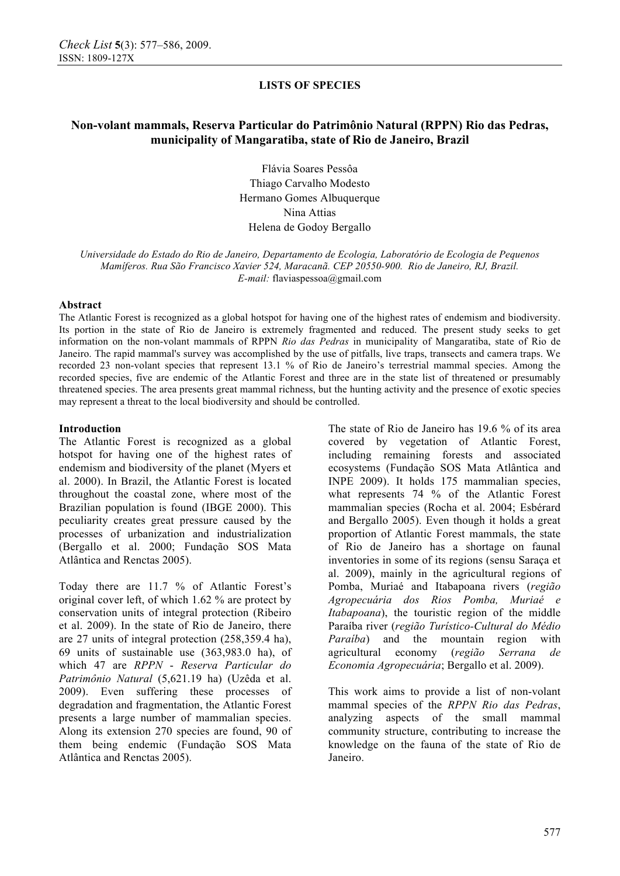# **Non-volant mammals, Reserva Particular do Patrimônio Natural (RPPN) Rio das Pedras, municipality of Mangaratiba, state of Rio de Janeiro, Brazil**

Flávia Soares Pessôa Thiago Carvalho Modesto Hermano Gomes Albuquerque Nina Attias Helena de Godoy Bergallo

*Universidade do Estado do Rio de Janeiro, Departamento de Ecologia, Laboratório de Ecologia de Pequenos Mamíferos. Rua São Francisco Xavier 524, Maracanã. CEP 20550-900. Rio de Janeiro, RJ, Brazil. E-mail:* flaviaspessoa@gmail.com

### **Abstract**

The Atlantic Forest is recognized as a global hotspot for having one of the highest rates of endemism and biodiversity. Its portion in the state of Rio de Janeiro is extremely fragmented and reduced. The present study seeks to get information on the non-volant mammals of RPPN *Rio das Pedras* in municipality of Mangaratiba, state of Rio de Janeiro. The rapid mammal's survey was accomplished by the use of pitfalls, live traps, transects and camera traps. We recorded 23 non-volant species that represent 13.1 % of Rio de Janeiro's terrestrial mammal species. Among the recorded species, five are endemic of the Atlantic Forest and three are in the state list of threatened or presumably threatened species. The area presents great mammal richness, but the hunting activity and the presence of exotic species may represent a threat to the local biodiversity and should be controlled.

### **Introduction**

The Atlantic Forest is recognized as a global hotspot for having one of the highest rates of endemism and biodiversity of the planet (Myers et al. 2000). In Brazil, the Atlantic Forest is located throughout the coastal zone, where most of the Brazilian population is found (IBGE 2000). This peculiarity creates great pressure caused by the processes of urbanization and industrialization (Bergallo et al. 2000; Fundação SOS Mata Atlântica and Renctas 2005).

Today there are 11.7 % of Atlantic Forest's original cover left, of which 1.62 % are protect by conservation units of integral protection (Ribeiro et al. 2009). In the state of Rio de Janeiro, there are 27 units of integral protection (258,359.4 ha), 69 units of sustainable use (363,983.0 ha), of which 47 are *RPPN* - *Reserva Particular do Patrimônio Natural* (5,621.19 ha) (Uzêda et al. 2009). Even suffering these processes of degradation and fragmentation, the Atlantic Forest presents a large number of mammalian species. Along its extension 270 species are found, 90 of them being endemic (Fundação SOS Mata Atlântica and Renctas 2005).

The state of Rio de Janeiro has 19.6 % of its area covered by vegetation of Atlantic Forest, including remaining forests and associated ecosystems (Fundação SOS Mata Atlântica and INPE 2009). It holds 175 mammalian species, what represents 74 % of the Atlantic Forest mammalian species (Rocha et al. 2004; Esbérard and Bergallo 2005). Even though it holds a great proportion of Atlantic Forest mammals, the state of Rio de Janeiro has a shortage on faunal inventories in some of its regions (sensu Saraça et al. 2009), mainly in the agricultural regions of Pomba, Muriaé and Itabapoana rivers (*região Agropecuária dos Rios Pomba, Muriaé e Itabapoana*), the touristic region of the middle Paraíba river (*região Turístico-Cultural do Médio Paraíba*) and the mountain region with agricultural economy (*região Serrana de Economia Agropecuária*; Bergallo et al. 2009).

This work aims to provide a list of non-volant mammal species of the *RPPN Rio das Pedras*, analyzing aspects of the small mammal community structure, contributing to increase the knowledge on the fauna of the state of Rio de Janeiro.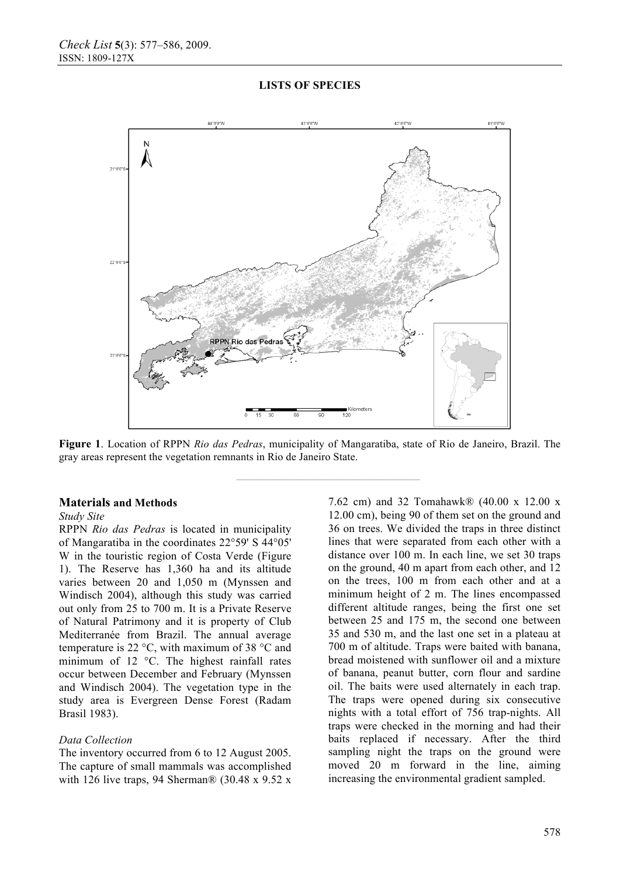

**Figure 1**. Location of RPPN *Rio das Pedras*, municipality of Mangaratiba, state of Rio de Janeiro, Brazil. The gray areas represent the vegetation remnants in Rio de Janeiro State.

**————————————————** 

### **Materials and Methods**

### *Study Site*

RPPN *Rio das Pedras* is located in municipality of Mangaratiba in the coordinates 22°59' S 44°05' W in the touristic region of Costa Verde (Figure 1). The Reserve has 1,360 ha and its altitude varies between 20 and 1,050 m (Mynssen and Windisch 2004), although this study was carried out only from 25 to 700 m. It is a Private Reserve of Natural Patrimony and it is property of Club Mediterranée from Brazil. The annual average temperature is 22 °C, with maximum of 38 °C and minimum of 12 °C. The highest rainfall rates occur between December and February (Mynssen and Windisch 2004). The vegetation type in the study area is Evergreen Dense Forest (Radam Brasil 1983).

#### *Data Collection*

The inventory occurred from 6 to 12 August 2005. The capture of small mammals was accomplished with 126 live traps, 94 Sherman® (30.48 x 9.52 x 7.62 cm) and 32 Tomahawk® (40.00 x 12.00 x 12.00 cm), being 90 of them set on the ground and 36 on trees. We divided the traps in three distinct lines that were separated from each other with a distance over 100 m. In each line, we set 30 traps on the ground, 40 m apart from each other, and 12 on the trees, 100 m from each other and at a minimum height of 2 m. The lines encompassed different altitude ranges, being the first one set between 25 and 175 m, the second one between 35 and 530 m, and the last one set in a plateau at 700 m of altitude. Traps were baited with banana, bread moistened with sunflower oil and a mixture of banana, peanut butter, corn flour and sardine oil. The baits were used alternately in each trap. The traps were opened during six consecutive nights with a total effort of 756 trap-nights. All traps were checked in the morning and had their baits replaced if necessary. After the third sampling night the traps on the ground were moved 20 m forward in the line, aiming increasing the environmental gradient sampled.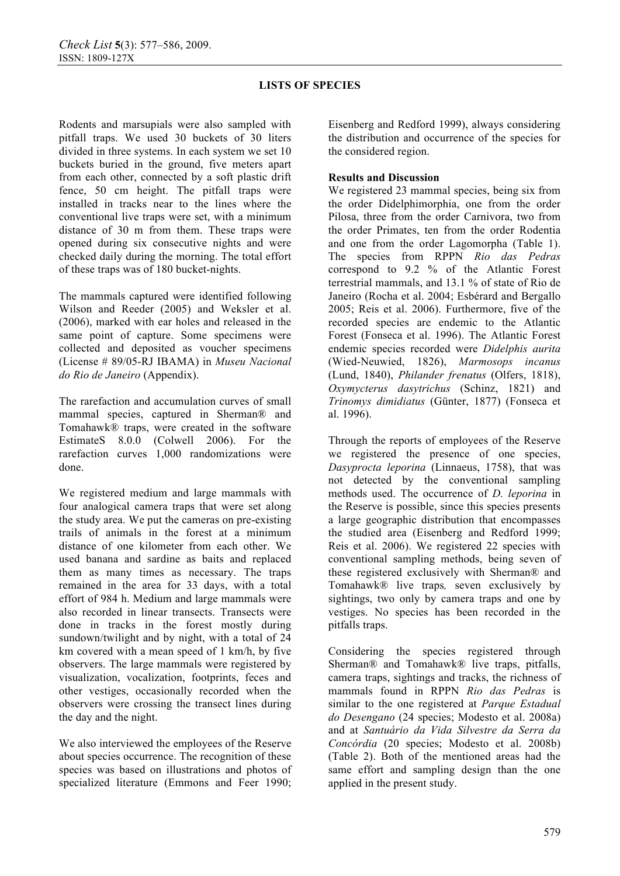Rodents and marsupials were also sampled with pitfall traps. We used 30 buckets of 30 liters divided in three systems. In each system we set 10 buckets buried in the ground, five meters apart from each other, connected by a soft plastic drift fence, 50 cm height. The pitfall traps were installed in tracks near to the lines where the conventional live traps were set, with a minimum distance of 30 m from them. These traps were opened during six consecutive nights and were checked daily during the morning. The total effort of these traps was of 180 bucket-nights.

The mammals captured were identified following Wilson and Reeder (2005) and Weksler et al. (2006), marked with ear holes and released in the same point of capture. Some specimens were collected and deposited as voucher specimens (License # 89/05-RJ IBAMA) in *Museu Nacional do Rio de Janeiro* (Appendix).

The rarefaction and accumulation curves of small mammal species, captured in Sherman® and Tomahawk® traps, were created in the software EstimateS 8.0.0 (Colwell 2006). For the rarefaction curves 1,000 randomizations were done.

We registered medium and large mammals with four analogical camera traps that were set along the study area. We put the cameras on pre-existing trails of animals in the forest at a minimum distance of one kilometer from each other. We used banana and sardine as baits and replaced them as many times as necessary. The traps remained in the area for 33 days, with a total effort of 984 h. Medium and large mammals were also recorded in linear transects. Transects were done in tracks in the forest mostly during sundown/twilight and by night, with a total of 24 km covered with a mean speed of 1 km/h, by five observers. The large mammals were registered by visualization, vocalization, footprints, feces and other vestiges, occasionally recorded when the observers were crossing the transect lines during the day and the night.

We also interviewed the employees of the Reserve about species occurrence. The recognition of these species was based on illustrations and photos of specialized literature (Emmons and Feer 1990;

Eisenberg and Redford 1999), always considering the distribution and occurrence of the species for the considered region.

## **Results and Discussion**

We registered 23 mammal species, being six from the order Didelphimorphia, one from the order Pilosa, three from the order Carnivora, two from the order Primates, ten from the order Rodentia and one from the order Lagomorpha (Table 1). The species from RPPN *Rio das Pedras* correspond to 9.2 % of the Atlantic Forest terrestrial mammals, and 13.1 % of state of Rio de Janeiro (Rocha et al. 2004; Esbérard and Bergallo 2005; Reis et al. 2006). Furthermore, five of the recorded species are endemic to the Atlantic Forest (Fonseca et al. 1996). The Atlantic Forest endemic species recorded were *Didelphis aurita*  (Wied-Neuwied, 1826), *Marmosops incanus*  (Lund, 1840), *Philander frenatus* (Olfers, 1818), *Oxymycterus dasytrichus* (Schinz, 1821) and *Trinomys dimidiatus* (Günter, 1877) (Fonseca et al. 1996).

Through the reports of employees of the Reserve we registered the presence of one species, *Dasyprocta leporina* (Linnaeus, 1758), that was not detected by the conventional sampling methods used. The occurrence of *D. leporina* in the Reserve is possible, since this species presents a large geographic distribution that encompasses the studied area (Eisenberg and Redford 1999; Reis et al. 2006). We registered 22 species with conventional sampling methods, being seven of these registered exclusively with Sherman® and Tomahawk® live traps*,* seven exclusively by sightings, two only by camera traps and one by vestiges. No species has been recorded in the pitfalls traps.

Considering the species registered through Sherman® and Tomahawk® live traps, pitfalls, camera traps, sightings and tracks, the richness of mammals found in RPPN *Rio das Pedras* is similar to the one registered at *Parque Estadual do Desengano* (24 species; Modesto et al. 2008a) and at *Santuário da Vida Silvestre da Serra da Concórdia* (20 species; Modesto et al. 2008b) (Table 2). Both of the mentioned areas had the same effort and sampling design than the one applied in the present study.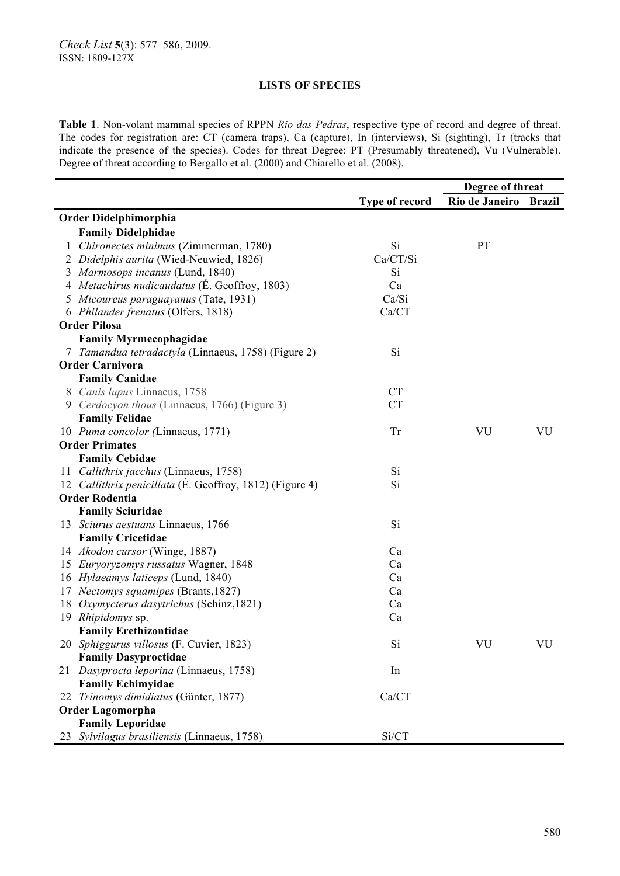**Table 1**. Non-volant mammal species of RPPN *Rio das Pedras*, respective type of record and degree of threat. The codes for registration are: CT (camera traps), Ca (capture), In (interviews), Si (sighting), Tr (tracks that indicate the presence of the species). Codes for threat Degree: PT (Presumably threatened), Vu (Vulnerable). Degree of threat according to Bergallo et al. (2000) and Chiarello et al. (2008).

|    |                                                          |                | Degree of threat      |    |
|----|----------------------------------------------------------|----------------|-----------------------|----|
|    |                                                          | Type of record | Rio de Janeiro Brazil |    |
|    | Order Didelphimorphia                                    |                |                       |    |
|    | <b>Family Didelphidae</b>                                |                |                       |    |
| 1  | Chironectes minimus (Zimmerman, 1780)                    | Si             | PT                    |    |
|    | 2 Didelphis aurita (Wied-Neuwied, 1826)                  | Ca/CT/Si       |                       |    |
|    | 3 Marmosops incanus (Lund, 1840)                         | Si             |                       |    |
|    | 4 Metachirus nudicaudatus (É. Geoffroy, 1803)            | Ca             |                       |    |
|    | Micoureus paraguayanus (Tate, 1931)                      | Ca/Si          |                       |    |
|    | 6 Philander frenatus (Olfers, 1818)                      | Ca/CT          |                       |    |
|    | <b>Order Pilosa</b>                                      |                |                       |    |
|    | <b>Family Myrmecophagidae</b>                            |                |                       |    |
|    | 7 Tamandua tetradactyla (Linnaeus, 1758) (Figure 2)      | Si             |                       |    |
|    | <b>Order Carnivora</b>                                   |                |                       |    |
|    | <b>Family Canidae</b>                                    |                |                       |    |
|    | 8 Canis lupus Linnaeus, 1758                             | CT             |                       |    |
|    | 9 Cerdocyon thous (Linnaeus, 1766) (Figure 3)            | <b>CT</b>      |                       |    |
|    | <b>Family Felidae</b>                                    |                |                       |    |
|    | 10 Puma concolor (Linnaeus, 1771)                        | <b>Tr</b>      | VU                    | VU |
|    | <b>Order Primates</b>                                    |                |                       |    |
|    | <b>Family Cebidae</b>                                    |                |                       |    |
|    | 11 Callithrix jacchus (Linnaeus, 1758)                   | Si             |                       |    |
|    | 12 Callithrix penicillata (E. Geoffroy, 1812) (Figure 4) | Si             |                       |    |
|    | <b>Order Rodentia</b>                                    |                |                       |    |
|    | <b>Family Sciuridae</b>                                  |                |                       |    |
|    | 13 Sciurus aestuans Linnaeus, 1766                       | Si             |                       |    |
|    | <b>Family Cricetidae</b>                                 |                |                       |    |
|    | 14 Akodon cursor (Winge, 1887)                           | Ca             |                       |    |
|    | 15 Euryoryzomys russatus Wagner, 1848                    | Ca             |                       |    |
|    | 16 Hylaeamys laticeps (Lund, 1840)                       | Ca             |                       |    |
|    | 17 Nectomys squamipes (Brants, 1827)                     | Ca             |                       |    |
| 18 | Oxymycterus dasytrichus (Schinz, 1821)                   | Ca             |                       |    |
|    | 19 Rhipidomys sp.                                        | Ca             |                       |    |
|    | <b>Family Erethizontidae</b>                             |                |                       |    |
|    | 20 Sphiggurus villosus (F. Cuvier, 1823)                 | S <sub>1</sub> | VU                    | VU |
|    | <b>Family Dasyproctidae</b>                              |                |                       |    |
|    | 21 Dasyprocta leporina (Linnaeus, 1758)                  | In             |                       |    |
|    | <b>Family Echimyidae</b>                                 |                |                       |    |
|    | 22 Trinomys dimidiatus (Günter, 1877)                    | Ca/CT          |                       |    |
|    | <b>Order Lagomorpha</b>                                  |                |                       |    |
|    | <b>Family Leporidae</b>                                  |                |                       |    |
|    | 23 Sylvilagus brasiliensis (Linnaeus, 1758)              | Si/CT          |                       |    |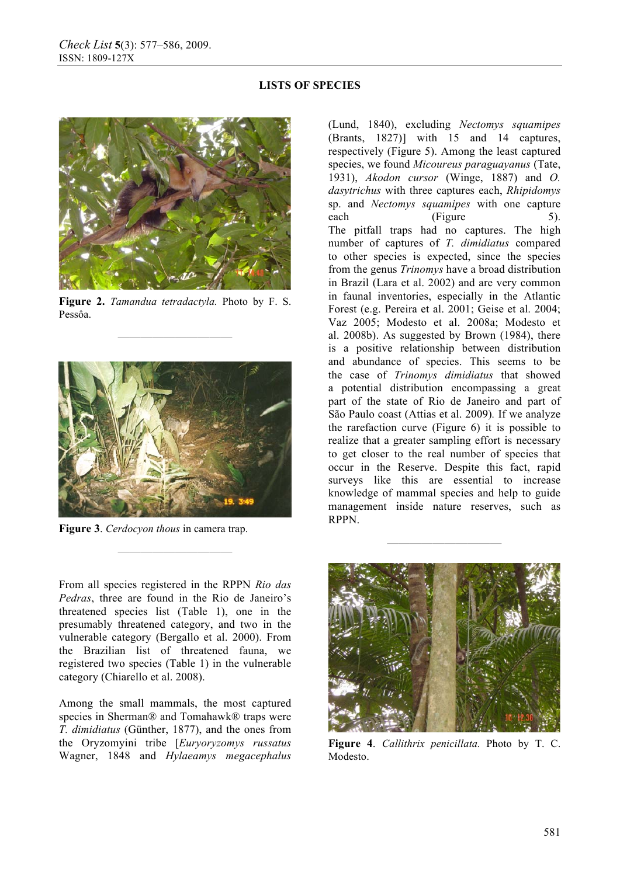

**Figure 2.** *Tamandua tetradactyla.* Photo by F. S. Pessôa.

**——————————** 



**Figure 3**. *Cerdocyon thous* in camera trap.

From all species registered in the RPPN *Rio das Pedras*, three are found in the Rio de Janeiro's threatened species list (Table 1), one in the presumably threatened category, and two in the vulnerable category (Bergallo et al. 2000). From the Brazilian list of threatened fauna, we registered two species (Table 1) in the vulnerable category (Chiarello et al. 2008).

**——————————** 

Among the small mammals, the most captured species in Sherman® and Tomahawk® traps were *T. dimidiatus* (Günther, 1877), and the ones from the Oryzomyini tribe [*Euryoryzomys russatus* Wagner, 1848 and *Hylaeamys megacephalus* 

(Lund, 1840), excluding *Nectomys squamipes*  (Brants, 1827)] with 15 and 14 captures, respectively (Figure 5). Among the least captured species, we found *Micoureus paraguayanus* (Tate, 1931), *Akodon cursor* (Winge, 1887) and *O. dasytrichus* with three captures each, *Rhipidomys* sp. and *Nectomys squamipes* with one capture each (Figure 5). The pitfall traps had no captures. The high number of captures of *T. dimidiatus* compared to other species is expected, since the species from the genus *Trinomys* have a broad distribution in Brazil (Lara et al. 2002) and are very common in faunal inventories, especially in the Atlantic Forest (e.g. Pereira et al. 2001; Geise et al. 2004; Vaz 2005; Modesto et al. 2008a; Modesto et al. 2008b). As suggested by Brown (1984), there is a positive relationship between distribution and abundance of species. This seems to be the case of *Trinomys dimidiatus* that showed a potential distribution encompassing a great part of the state of Rio de Janeiro and part of São Paulo coast (Attias et al. 2009)*.* If we analyze the rarefaction curve (Figure 6) it is possible to realize that a greater sampling effort is necessary to get closer to the real number of species that occur in the Reserve. Despite this fact, rapid surveys like this are essential to increase knowledge of mammal species and help to guide management inside nature reserves, such as RPPN.



**——————————** 

**Figure 4**. *Callithrix penicillata.* Photo by T. C. Modesto.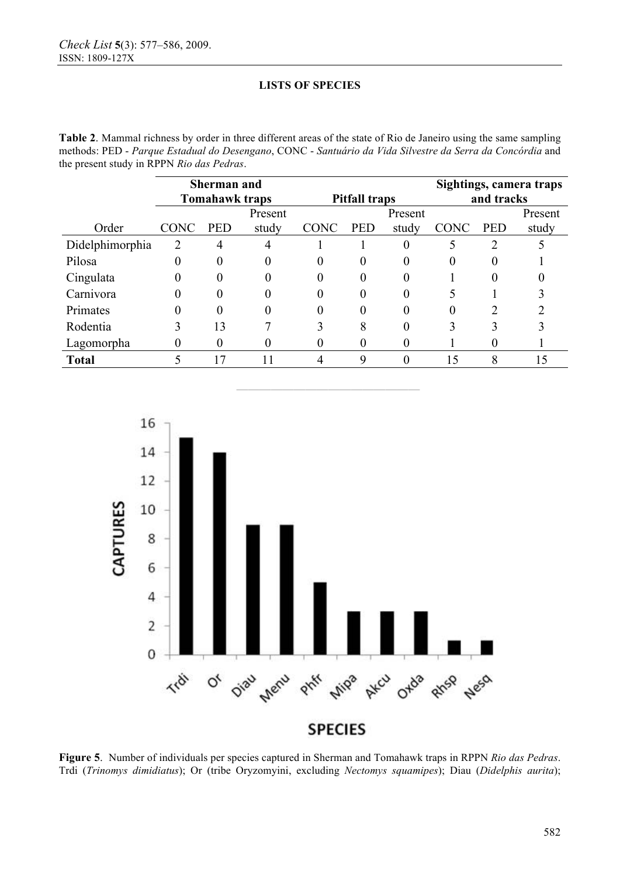**Table 2**. Mammal richness by order in three different areas of the state of Rio de Janeiro using the same sampling methods: PED - *Parque Estadual do Desengano*, CONC - *Santuário da Vida Silvestre da Serra da Concórdia* and the present study in RPPN *Rio das Pedras*.

|                 | <b>Sherman and</b><br><b>Tomahawk traps</b> |            |       | <b>Pitfall traps</b> |            |              | Sightings, camera traps<br>and tracks |            |       |
|-----------------|---------------------------------------------|------------|-------|----------------------|------------|--------------|---------------------------------------|------------|-------|
|                 | Present                                     |            |       | Present              |            |              |                                       | Present    |       |
| Order           | <b>CONC</b>                                 | <b>PED</b> | study | <b>CONC</b>          | <b>PED</b> | study        | <b>CONC</b>                           | <b>PED</b> | study |
| Didelphimorphia | 2                                           | 4          | 4     |                      |            |              |                                       | 2          |       |
| Pilosa          | 0                                           | $\theta$   | 0     | 0                    | 0          |              | 0                                     | O          |       |
| Cingulata       | 0                                           | $\theta$   | 0     | 0                    | 0          |              |                                       | 0          |       |
| Carnivora       |                                             | $\theta$   | 0     | 0                    |            |              |                                       |            |       |
| Primates        |                                             | $\Omega$   | 0     | 0                    | 0          | $\mathbf{0}$ | 0                                     |            |       |
| Rodentia        |                                             | 13         |       | 3                    | 8          |              | 3                                     |            |       |
| Lagomorpha      |                                             |            | 0     | 0                    |            |              |                                       |            |       |
| <b>Total</b>    |                                             | 17         | 11    |                      | 9          |              | 15                                    | 8          | 15    |

**————————————————** 



**Figure 5**. Number of individuals per species captured in Sherman and Tomahawk traps in RPPN *Rio das Pedras*. Trdi (*Trinomys dimidiatus*); Or (tribe Oryzomyini, excluding *Nectomys squamipes*); Diau (*Didelphis aurita*);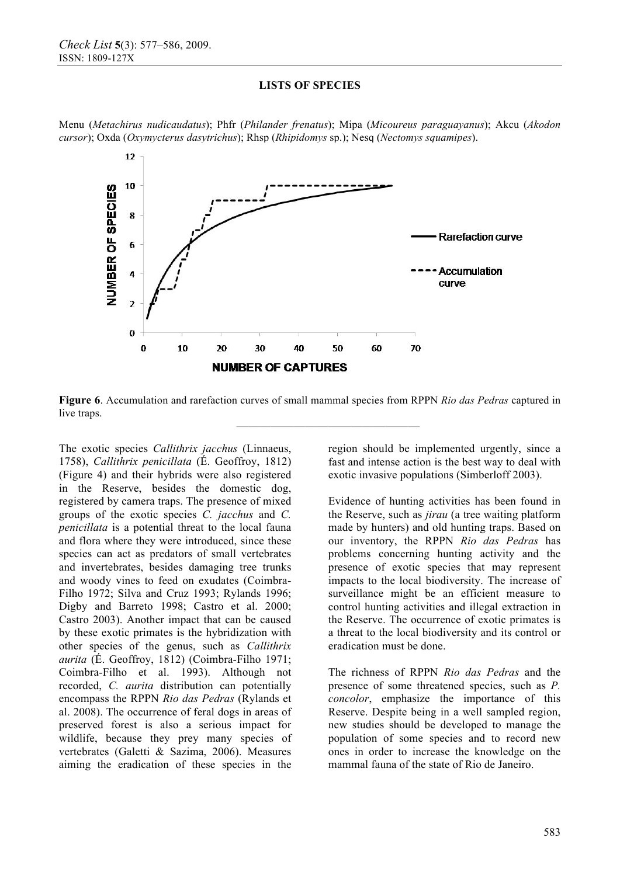

Menu (*Metachirus nudicaudatus*); Phfr (*Philander frenatus*); Mipa (*Micoureus paraguayanus*); Akcu (*Akodon cursor*); Oxda (*Oxymycterus dasytrichus*); Rhsp (*Rhipidomys* sp.); Nesq (*Nectomys squamipes*).

**Figure 6**. Accumulation and rarefaction curves of small mammal species from RPPN *Rio das Pedras* captured in live traps.

**————————————————** 

The exotic species *Callithrix jacchus* (Linnaeus, 1758), *Callithrix penicillata* (É. Geoffroy, 1812) (Figure 4) and their hybrids were also registered in the Reserve, besides the domestic dog, registered by camera traps. The presence of mixed groups of the exotic species *C. jacchus* and *C. penicillata* is a potential threat to the local fauna and flora where they were introduced, since these species can act as predators of small vertebrates and invertebrates, besides damaging tree trunks and woody vines to feed on exudates (Coimbra-Filho 1972; Silva and Cruz 1993; Rylands 1996; Digby and Barreto 1998; Castro et al. 2000; Castro 2003). Another impact that can be caused by these exotic primates is the hybridization with other species of the genus, such as *Callithrix aurita* (É. Geoffroy, 1812) (Coimbra-Filho 1971; Coimbra-Filho et al. 1993). Although not recorded, *C. aurita* distribution can potentially encompass the RPPN *Rio das Pedras* (Rylands et al. 2008). The occurrence of feral dogs in areas of preserved forest is also a serious impact for wildlife, because they prey many species of vertebrates (Galetti & Sazima, 2006). Measures aiming the eradication of these species in the

region should be implemented urgently, since a fast and intense action is the best way to deal with exotic invasive populations (Simberloff 2003).

Evidence of hunting activities has been found in the Reserve, such as *jirau* (a tree waiting platform made by hunters) and old hunting traps. Based on our inventory, the RPPN *Rio das Pedras* has problems concerning hunting activity and the presence of exotic species that may represent impacts to the local biodiversity. The increase of surveillance might be an efficient measure to control hunting activities and illegal extraction in the Reserve. The occurrence of exotic primates is a threat to the local biodiversity and its control or eradication must be done.

The richness of RPPN *Rio das Pedras* and the presence of some threatened species, such as *P. concolor*, emphasize the importance of this Reserve. Despite being in a well sampled region, new studies should be developed to manage the population of some species and to record new ones in order to increase the knowledge on the mammal fauna of the state of Rio de Janeiro.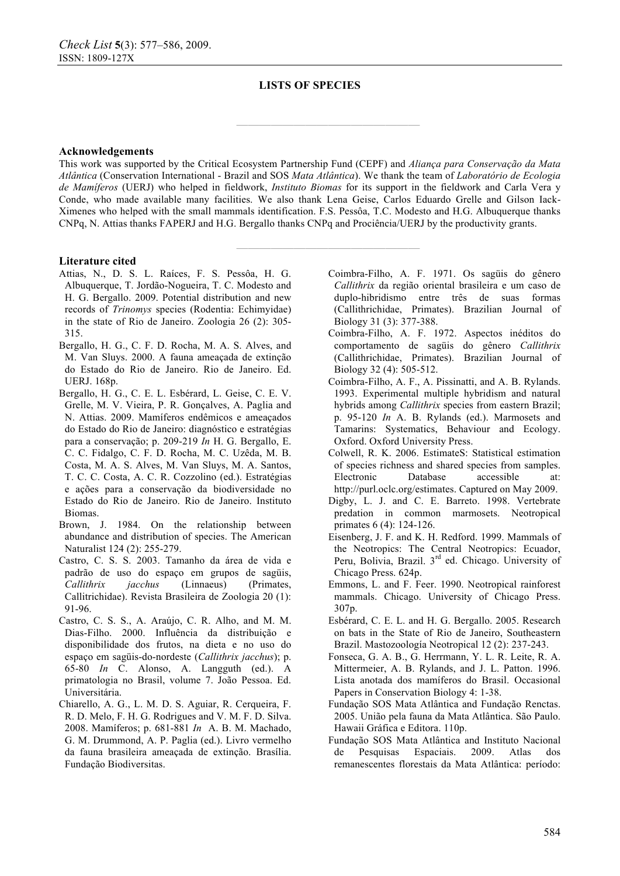**————————————————** 

**————————————————** 

#### **Acknowledgements**

This work was supported by the Critical Ecosystem Partnership Fund (CEPF) and *Aliança para Conservação da Mata Atlântica* (Conservation International - Brazil and SOS *Mata Atlântica*). We thank the team of *Laboratório de Ecologia de Mamíferos* (UERJ) who helped in fieldwork, *Instituto Biomas* for its support in the fieldwork and Carla Vera y Conde, who made available many facilities. We also thank Lena Geise, Carlos Eduardo Grelle and Gilson Iack-Ximenes who helped with the small mammals identification. F.S. Pessôa, T.C. Modesto and H.G. Albuquerque thanks CNPq, N. Attias thanks FAPERJ and H.G. Bergallo thanks CNPq and Prociência/UERJ by the productivity grants.

#### **Literature cited**

- Attias, N., D. S. L. Raíces, F. S. Pessôa, H. G. Albuquerque, T. Jordão-Nogueira, T. C. Modesto and H. G. Bergallo. 2009. Potential distribution and new records of *Trinomys* species (Rodentia: Echimyidae) in the state of Rio de Janeiro. Zoologia 26 (2): 305- 315.
- Bergallo, H. G., C. F. D. Rocha, M. A. S. Alves, and M. Van Sluys. 2000. A fauna ameaçada de extinção do Estado do Rio de Janeiro. Rio de Janeiro. Ed. UERJ. 168p.
- Bergallo, H. G., C. E. L. Esbérard, L. Geise, C. E. V. Grelle, M. V. Vieira, P. R. Gonçalves, A. Paglia and N. Attias. 2009. Mamíferos endêmicos e ameaçados do Estado do Rio de Janeiro: diagnóstico e estratégias para a conservação; p. 209-219 *In* H. G. Bergallo, E. C. C. Fidalgo, C. F. D. Rocha, M. C. Uzêda, M. B. Costa, M. A. S. Alves, M. Van Sluys, M. A. Santos, T. C. C. Costa, A. C. R. Cozzolino (ed.). Estratégias e ações para a conservação da biodiversidade no Estado do Rio de Janeiro. Rio de Janeiro. Instituto Biomas.
- Brown, J. 1984. On the relationship between abundance and distribution of species. The American Naturalist 124 (2): 255-279.
- Castro, C. S. S. 2003. Tamanho da área de vida e padrão de uso do espaço em grupos de sagüis, *Callithrix jacchus* (Linnaeus) (Primates, Callitrichidae). Revista Brasileira de Zoologia 20 (1): 91-96.
- Castro, C. S. S., A. Araújo, C. R. Alho, and M. M. Dias-Filho. 2000. Influência da distribuição e disponibilidade dos frutos, na dieta e no uso do espaço em sagüis-do-nordeste (*Callithrix jacchus*); p. 65-80 *In* C. Alonso, A. Langguth (ed.). A primatologia no Brasil, volume 7. João Pessoa. Ed. Universitária.
- Chiarello, A. G., L. M. D. S. Aguiar, R. Cerqueira, F. R. D. Melo, F. H. G. Rodrigues and V. M. F. D. Silva. 2008. Mamíferos; p. 681-881 *In* A. B. M. Machado, G. M. Drummond, A. P. Paglia (ed.). Livro vermelho da fauna brasileira ameaçada de extinção. Brasília. Fundação Biodiversitas.
- Coimbra-Filho, A. F. 1971. Os sagüis do gênero *Callithrix* da região oriental brasileira e um caso de duplo-hibridismo entre três de suas formas (Callithrichidae, Primates). Brazilian Journal of Biology 31 (3): 377-388.
- Coimbra-Filho, A. F. 1972. Aspectos inéditos do comportamento de sagüis do gênero *Callithrix* (Callithrichidae, Primates). Brazilian Journal of Biology 32 (4): 505-512.
- Coimbra-Filho, A. F., A. Pissinatti, and A. B. Rylands. 1993. Experimental multiple hybridism and natural hybrids among *Callithrix* species from eastern Brazil; p. 95-120 *In* A. B. Rylands (ed.). Marmosets and Tamarins: Systematics, Behaviour and Ecology. Oxford. Oxford University Press.
- Colwell, R. K. 2006. EstimateS: Statistical estimation of species richness and shared species from samples. Electronic Database accessible at: http://purl.oclc.org/estimates. Captured on May 2009.
- Digby, L. J. and C. E. Barreto. 1998. Vertebrate predation in common marmosets. Neotropical primates 6 (4): 124-126.
- Eisenberg, J. F. and K. H. Redford. 1999. Mammals of the Neotropics: The Central Neotropics: Ecuador, Peru, Bolivia, Brazil. 3rd ed. Chicago. University of Chicago Press. 624p.
- Emmons, L. and F. Feer. 1990. Neotropical rainforest mammals. Chicago. University of Chicago Press. 307p.
- Esbérard, C. E. L. and H. G. Bergallo. 2005. Research on bats in the State of Rio de Janeiro, Southeastern Brazil. Mastozoología Neotropical 12 (2): 237-243.
- Fonseca, G. A. B., G. Herrmann, Y. L. R. Leite, R. A. Mittermeier, A. B. Rylands, and J. L. Patton. 1996. Lista anotada dos mamíferos do Brasil. Occasional Papers in Conservation Biology 4: 1-38.
- Fundação SOS Mata Atlântica and Fundação Renctas. 2005. União pela fauna da Mata Atlântica. São Paulo. Hawaii Gráfica e Editora. 110p.
- Fundação SOS Mata Atlântica and Instituto Nacional de Pesquisas Espaciais. 2009. Atlas dos remanescentes florestais da Mata Atlântica: período: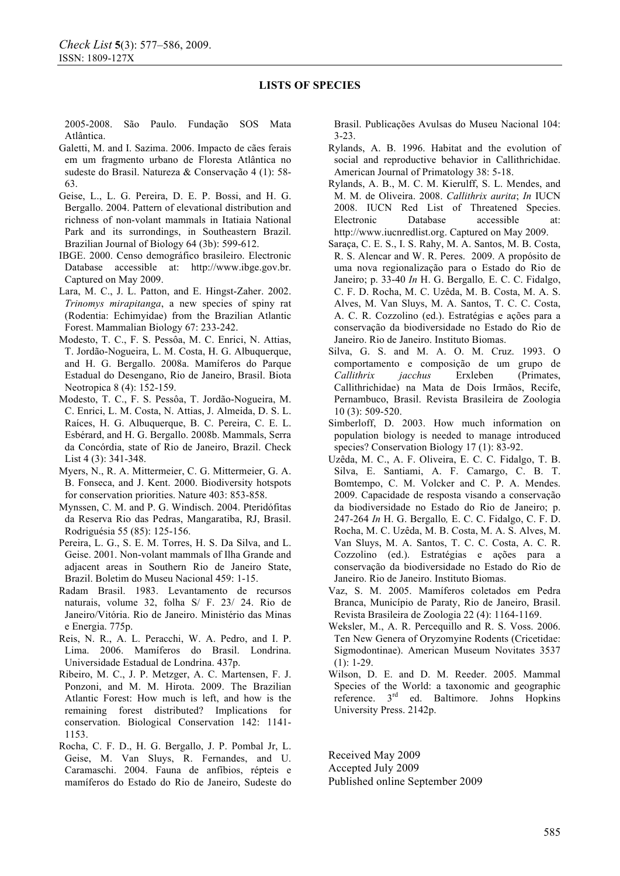2005-2008. São Paulo. Fundação SOS Mata Atlântica.

- Galetti, M. and I. Sazima. 2006. Impacto de cães ferais em um fragmento urbano de Floresta Atlântica no sudeste do Brasil. Natureza & Conservação 4 (1): 58- 63.
- Geise, L., L. G. Pereira, D. E. P. Bossi, and H. G. Bergallo. 2004. Pattern of elevational distribution and richness of non-volant mammals in Itatiaia National Park and its surrondings, in Southeastern Brazil. Brazilian Journal of Biology 64 (3b): 599-612.
- IBGE. 2000. Censo demográfico brasileiro. Electronic Database accessible at: http://www.ibge.gov.br. Captured on May 2009.
- Lara, M. C., J. L. Patton, and E. Hingst-Zaher. 2002. *Trinomys mirapitanga*, a new species of spiny rat (Rodentia: Echimyidae) from the Brazilian Atlantic Forest. Mammalian Biology 67: 233-242.
- Modesto, T. C., F. S. Pessôa, M. C. Enrici, N. Attias, T. Jordão-Nogueira, L. M. Costa, H. G. Albuquerque, and H. G. Bergallo. 2008a. Mamíferos do Parque Estadual do Desengano, Rio de Janeiro, Brasil. Biota Neotropica 8 (4): 152-159.
- Modesto, T. C., F. S. Pessôa, T. Jordão-Nogueira, M. C. Enrici, L. M. Costa, N. Attias, J. Almeida, D. S. L. Raíces, H. G. Albuquerque, B. C. Pereira, C. E. L. Esbérard, and H. G. Bergallo. 2008b. Mammals, Serra da Concórdia, state of Rio de Janeiro, Brazil. Check List 4 (3): 341-348.
- Myers, N., R. A. Mittermeier, C. G. Mittermeier, G. A. B. Fonseca, and J. Kent. 2000. Biodiversity hotspots for conservation priorities. Nature 403: 853-858.
- Mynssen, C. M. and P. G. Windisch. 2004. Pteridófitas da Reserva Rio das Pedras, Mangaratiba, RJ, Brasil. Rodriguésia 55 (85): 125-156.
- Pereira, L. G., S. E. M. Torres, H. S. Da Silva, and L. Geise. 2001. Non-volant mammals of Ilha Grande and adjacent areas in Southern Rio de Janeiro State, Brazil. Boletim do Museu Nacional 459: 1-15.
- Radam Brasil. 1983. Levantamento de recursos naturais, volume 32, folha S/ F. 23/ 24. Rio de Janeiro/Vitória. Rio de Janeiro. Ministério das Minas e Energia. 775p.
- Reis, N. R., A. L. Peracchi, W. A. Pedro, and I. P. Lima. 2006. Mamíferos do Brasil. Londrina. Universidade Estadual de Londrina. 437p.
- Ribeiro, M. C., J. P. Metzger, A. C. Martensen, F. J. Ponzoni, and M. M. Hirota. 2009. The Brazilian Atlantic Forest: How much is left, and how is the remaining forest distributed? Implications for conservation. Biological Conservation 142: 1141- 1153.
- Rocha, C. F. D., H. G. Bergallo, J. P. Pombal Jr, L. Geise, M. Van Sluys, R. Fernandes, and U. Caramaschi. 2004. Fauna de anfíbios, répteis e mamíferos do Estado do Rio de Janeiro, Sudeste do

Brasil. Publicações Avulsas do Museu Nacional 104: 3-23.

- Rylands, A. B. 1996. Habitat and the evolution of social and reproductive behavior in Callithrichidae. American Journal of Primatology 38: 5-18.
- Rylands, A. B., M. C. M. Kierulff, S. L. Mendes, and M. M. de Oliveira. 2008. *Callithrix aurita*; *In* IUCN 2008. IUCN Red List of Threatened Species. Electronic Database accessible at: http://www.iucnredlist.org. Captured on May 2009.
- Saraça, C. E. S., I. S. Rahy, M. A. Santos, M. B. Costa, R. S. Alencar and W. R. Peres. 2009. A propósito de uma nova regionalização para o Estado do Rio de Janeiro; p. 33-40 *In* H. G. Bergallo*,* E. C. C. Fidalgo, C. F. D. Rocha, M. C. Uzêda, M. B. Costa, M. A. S. Alves, M. Van Sluys, M. A. Santos, T. C. C. Costa, A. C. R. Cozzolino (ed.). Estratégias e ações para a conservação da biodiversidade no Estado do Rio de Janeiro. Rio de Janeiro. Instituto Biomas.
- Silva, G. S. and M. A. O. M. Cruz. 1993. O comportamento e composição de um grupo de *Callithrix jacchus* Erxleben (Primates, Callithrichidae) na Mata de Dois Irmãos, Recife, Pernambuco, Brasil. Revista Brasileira de Zoologia 10 (3): 509-520.
- Simberloff, D. 2003. How much information on population biology is needed to manage introduced species? Conservation Biology 17 (1): 83-92.
- Uzêda, M. C., A. F. Oliveira, E. C. C. Fidalgo, T. B. Silva, E. Santiami, A. F. Camargo, C. B. T. Bomtempo, C. M. Volcker and C. P. A. Mendes. 2009. Capacidade de resposta visando a conservação da biodiversidade no Estado do Rio de Janeiro; p. 247-264 *In* H. G. Bergallo*,* E. C. C. Fidalgo, C. F. D. Rocha, M. C. Uzêda, M. B. Costa, M. A. S. Alves, M. Van Sluys, M. A. Santos, T. C. C. Costa, A. C. R. Cozzolino (ed.). Estratégias e ações para a conservação da biodiversidade no Estado do Rio de Janeiro. Rio de Janeiro. Instituto Biomas.
- Vaz, S. M. 2005. Mamíferos coletados em Pedra Branca, Município de Paraty, Rio de Janeiro, Brasil. Revista Brasileira de Zoologia 22 (4): 1164-1169.
- Weksler, M., A. R. Percequillo and R. S. Voss. 2006. Ten New Genera of Oryzomyine Rodents (Cricetidae: Sigmodontinae). American Museum Novitates 3537 (1): 1-29.
- Wilson, D. E. and D. M. Reeder. 2005. Mammal Species of the World: a taxonomic and geographic reference.  $3<sup>rd</sup>$  ed. Baltimore. Johns Hopkins ed. Baltimore. Johns Hopkins University Press. 2142p.

Received May 2009 Accepted July 2009 Published online September 2009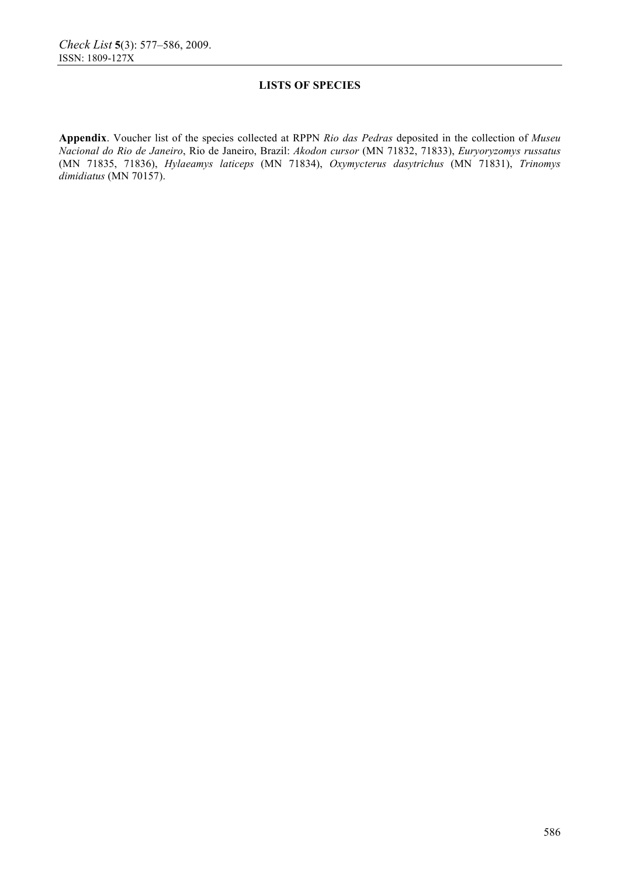**Appendix**. Voucher list of the species collected at RPPN *Rio das Pedras* deposited in the collection of *Museu Nacional do Rio de Janeiro*, Rio de Janeiro, Brazil: *Akodon cursor* (MN 71832, 71833), *Euryoryzomys russatus* (MN 71835, 71836), *Hylaeamys laticeps* (MN 71834), *Oxymycterus dasytrichus* (MN 71831), *Trinomys dimidiatus* (MN 70157).